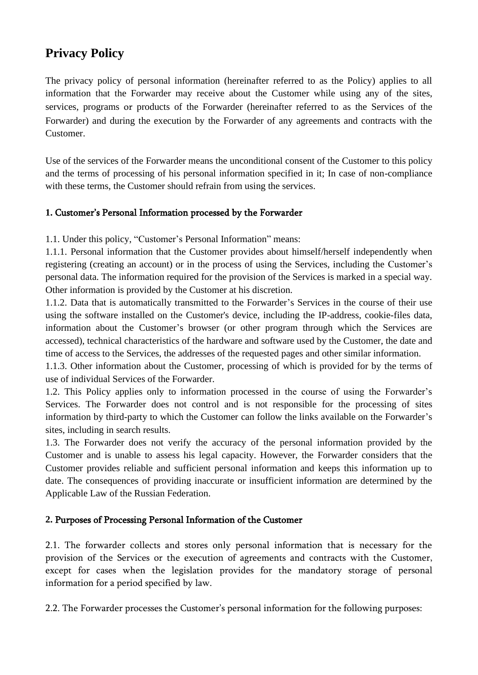# **Privacy Policy**

The privacy policy of personal information (hereinafter referred to as the Policy) applies to all information that the Forwarder may receive about the Customer while using any of the sites, services, programs or products of the Forwarder (hereinafter referred to as the Services of the Forwarder) and during the execution by the Forwarder of any agreements and contracts with the Customer.

Use of the services of the Forwarder means the unconditional consent of the Customer to this policy and the terms of processing of his personal information specified in it; In case of non-compliance with these terms, the Customer should refrain from using the services.

#### **1.** Customer's Personal Information processed by the Forwarder

1.1. Under this policy, "Customer's Personal Information" means:

1.1.1. Personal information that the Customer provides about himself/herself independently when registering (creating an account) or in the process of using the Services, including the Customer's personal data. The information required for the provision of the Services is marked in a special way. Other information is provided by the Customer at his discretion.

1.1.2. Data that is automatically transmitted to the Forwarder's Services in the course of their use using the software installed on the Customer's device, including the IP-address, cookie-files data, information about the Customer's browser (or other program through which the Services are accessed), technical characteristics of the hardware and software used by the Customer, the date and time of access to the Services, the addresses of the requested pages and other similar information.

1.1.3. Other information about the Customer, processing of which is provided for by the terms of use of individual Services of the Forwarder.

1.2. This Policy applies only to information processed in the course of using the Forwarder's Services. The Forwarder does not control and is not responsible for the processing of sites information by third-party to which the Customer can follow the links available on the Forwarder's sites, including in search results.

1.3. The Forwarder does not verify the accuracy of the personal information provided by the Customer and is unable to assess his legal capacity. However, the Forwarder considers that the Customer provides reliable and sufficient personal information and keeps this information up to date. The consequences of providing inaccurate or insufficient information are determined by the Applicable Law of the Russian Federation.

#### **2.** Purposes of Processing Personal Information of the Customer

2.1. The forwarder collects and stores only personal information that is necessary for the provision of the Services or the execution of agreements and contracts with the Customer, except for cases when the legislation provides for the mandatory storage of personal information for a period specified by law.

2.2. The Forwarder processes the Customer's personal information for the following purposes: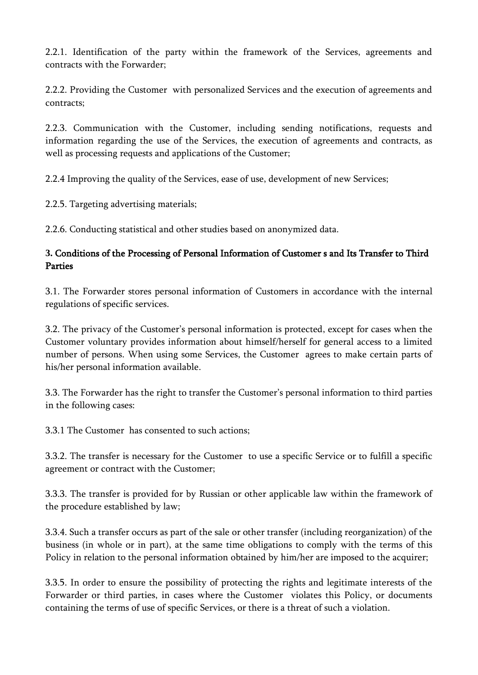2.2.1. Identification of the party within the framework of the Services, agreements and contracts with the Forwarder;

2.2.2. Providing the Customer with personalized Services and the execution of agreements and contracts;

2.2.3. Communication with the Customer, including sending notifications, requests and information regarding the use of the Services, the execution of agreements and contracts, as well as processing requests and applications of the Customer;

2.2.4 Improving the quality of the Services, ease of use, development of new Services;

2.2.5. Targeting advertising materials;

2.2.6. Conducting statistical and other studies based on anonymized data.

## **3.** Conditions of the Processing of Personal Information of Customer s and Its Transfer to Third Parties

3.1. The Forwarder stores personal information of Customers in accordance with the internal regulations of specific services.

3.2. The privacy of the Customer's personal information is protected, except for cases when the Customer voluntary provides information about himself/herself for general access to a limited number of persons. When using some Services, the Customer agrees to make certain parts of his/her personal information available.

3.3. The Forwarder has the right to transfer the Customer's personal information to third parties in the following cases:

3.3.1 The Customer has consented to such actions;

3.3.2. The transfer is necessary for the Customer to use a specific Service or to fulfill a specific agreement or contract with the Customer;

3.3.3. The transfer is provided for by Russian or other applicable law within the framework of the procedure established by law;

3.3.4. Such a transfer occurs as part of the sale or other transfer (including reorganization) of the business (in whole or in part), at the same time obligations to comply with the terms of this Policy in relation to the personal information obtained by him/her are imposed to the acquirer;

3.3.5. In order to ensure the possibility of protecting the rights and legitimate interests of the Forwarder or third parties, in cases where the Customer violates this Policy, or documents containing the terms of use of specific Services, or there is a threat of such a violation.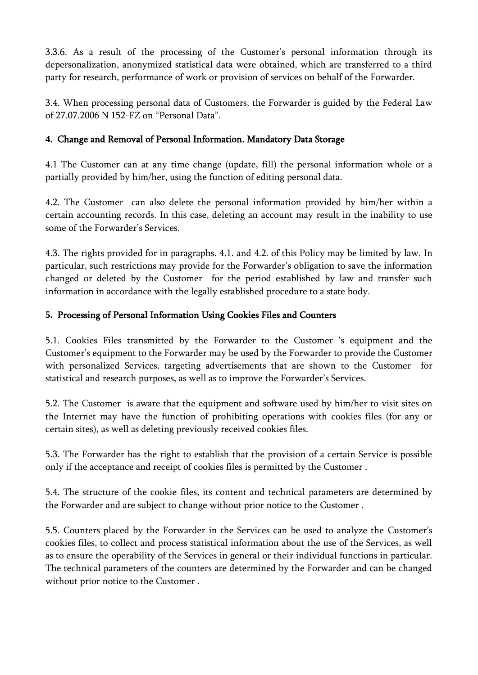3.3.6. As a result of the processing of the Customer's personal information through its depersonalization, anonymized statistical data were obtained, which are transferred to a third party for research, performance of work or provision of services on behalf of the Forwarder.

3.4. When processing personal data of Customers, the Forwarder is guided by the Federal Law of 27.07.2006 N 152-FZ on "Personal Data".

#### **4.** Change and Removal of Personal Information. Mandatory Data Storage

4.1 The Customer can at any time change (update, fill) the personal information whole or a partially provided by him/her, using the function of editing personal data.

4.2. The Customer can also delete the personal information provided by him/her within a certain accounting records. In this case, deleting an account may result in the inability to use some of the Forwarder's Services.

4.3. The rights provided for in paragraphs. 4.1. and 4.2. of this Policy may be limited by law. In particular, such restrictions may provide for the Forwarder's obligation to save the information changed or deleted by the Customer for the period established by law and transfer such information in accordance with the legally established procedure to a state body.

#### **5.** Processing of Personal Information Using Cookies Files and Counters

5.1. Cookies Files transmitted by the Forwarder to the Customer 's equipment and the Customer's equipment to the Forwarder may be used by the Forwarder to provide the Customer with personalized Services, targeting advertisements that are shown to the Customer for statistical and research purposes, as well as to improve the Forwarder's Services.

5.2. The Customer is aware that the equipment and software used by him/her to visit sites on the Internet may have the function of prohibiting operations with cookies files (for any or certain sites), as well as deleting previously received cookies files.

5.3. The Forwarder has the right to establish that the provision of a certain Service is possible only if the acceptance and receipt of cookies files is permitted by the Customer .

5.4. The structure of the cookie files, its content and technical parameters are determined by the Forwarder and are subject to change without prior notice to the Customer .

5.5. Counters placed by the Forwarder in the Services can be used to analyze the Customer's cookies files, to collect and process statistical information about the use of the Services, as well as to ensure the operability of the Services in general or their individual functions in particular. The technical parameters of the counters are determined by the Forwarder and can be changed without prior notice to the Customer .